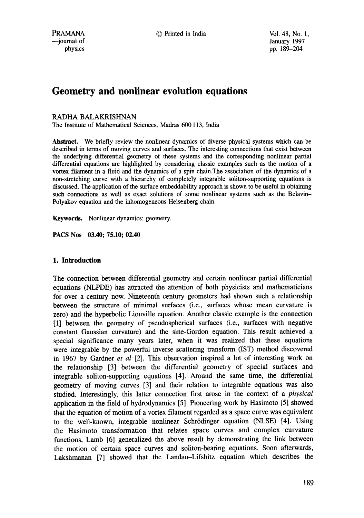# **Geometry and nonlinear evolution equations**

## RADHA BALAKRISHNAN

The Institute of Mathematical Sciences, Madras 600 113, India

**Abstract.** We briefly review the nonlinear dynamics of diverse physical systems which can be described in terms of moving curves and surfaces. The interesting connections that exist between the underlying differential geometry of these systems and the corresponding nonlinear partial differential equations are highlighted by considering classic examples such as the motion of a vortex filament in a fluid and the dynamics of a spin chain.The association of the dynamics of a non-stretching curve with a hierarchy of completely integrable soliton-supporting equations is discussed. The application of the surface embeddability approach is shown to be useful in obtaining such connections as well as exact solutions of some nonlinear systems such as the Belavin-Polyakov equation and the inhomogeneous Heisenberg chain.

Keywords. Nonlinear dynamics; geometry.

**PACS Nos 03.40; 75.10; 02.40** 

## **1. Introduction**

The connection between differential geometry and certain nonlinear partial differential equations (NLPDE) has attracted the attention of both physicists and mathematicians for over a century now. Nineteenth century geometers had shown such a relationship between the structure of minimal surfaces (i.e., surfaces whose mean curvature is zero) and the hyperbolic Liouville equation. Another classic example is the connection [1] between the geometry of pseudospherical surfaces (i.e., surfaces with negative constant Gaussian curvature) and the sine-Gordon equation. This result achieved a special significance many years later, when it was realized that these equations were integrable by the powerful inverse scattering transform (IST) method discovered in 1967 by Gardner *et al* [2]. This observation inspired a lot of interesting work on the relationship [3] between the differential geometry of special surfaces and integrable soliton-supporting equations [4]. Around the same time, the differential geometry of moving curves [3] and their relation to integrable equations was also studied. Interestingly, this latter connection first arose in the context of a *physical*  application in the field of hydrodynamics [5]. Pioneering work by Hasimoto [5] showed that the equation of motion of a vortex filament regarded as a space curve was equivalent to the well-known, integrable nonlinear Schrödinger equation (NLSE) [4]. Using the Hasimoto transformation that relates space curves and complex curvature functions, Lamb [6] generalized the above result by demonstrating the link between the motion of certain space curves and soliton-bearing equations. Soon afterwards, Lakshmanan [7] showed that the Landau-Lifshitz equation which describes the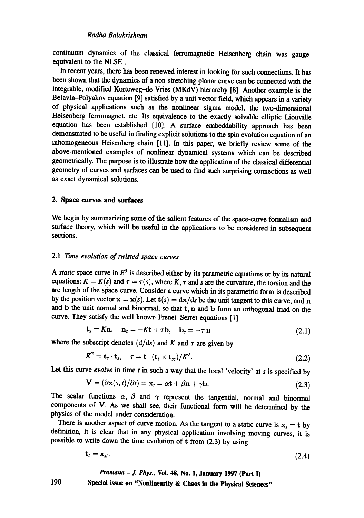continuum dynamics of the classical ferromagnetic Heisenberg chain was gaugeequivalent to the NLSE.

In recent years, there has been renewed interest in looking for such connections. It has been shown that the dynamics of a non-stretching planar curve can be connected with the integrable, modified Korteweg-de Vries (MKdV) hierarchy [8]. Another example is the Belavin-Polyakov equation [9] satisfied by a unit vector field, which appears in a variety of physical applications such as the nonlinear sigma model, the two-dimensional Heisenberg ferromagnet, etc. Its equivalence to the exactly solvable elliptic Liouville equation has been established [10]. A surface embeddability approach has been demonstrated to be useful in finding explicit solutions to the spin evolution equation of an inhomogeneous Heisenberg chain [11]. In this paper, we briefly review some of the above-mentioned examples of nonlinear dynamical systems which can be described geometrically. The purpose is to illustrate how the application of the classical differential geometry of curves and surfaces can be used to find such surprising connections as well as exact dynamical solutions.

#### **2. Space curves and surfaces**

We begin by summarizing some of the salient features of the space-curve formalism and surface theory, which will be useful in the applications to be considered in subsequent sections.

## *2.1 Time evolution of misted space curves*

A *static* space curve in  $E<sup>3</sup>$  is described either by its parametric equations or by its natural equations:  $K = K(s)$  and  $\tau = \tau(s)$ , where K,  $\tau$  and s are the curvature, the torsion and the arc length of the space curve. Consider a curve which in its parametric form is described by the position vector  $x = x(s)$ . Let  $t(s) = dx/ds$  be the unit tangent to this curve, and n and b the unit normal and binormal, so that t, n and b form an orthogonal triad on the curve. They satisfy the well known Frenet-Serret equations [1]

$$
\mathbf{t}_s = K\mathbf{n}, \quad \mathbf{n}_s = -K\mathbf{t} + \tau \mathbf{b}, \quad \mathbf{b}_s = -\tau \mathbf{n} \tag{2.1}
$$

where the subscript denotes  $(d/ds)$  and K and  $\tau$  are given by

$$
K^2 = \mathbf{t}_s \cdot \mathbf{t}_s, \quad \tau = \mathbf{t} \cdot (\mathbf{t}_s \times \mathbf{t}_{ss})/K^2. \tag{2.2}
$$

Let this curve *evolve* in time  $t$  in such a way that the local 'velocity' at  $s$  is specified by

$$
\mathbf{V} = (\partial \mathbf{x}(s, t)/\partial t) = \mathbf{x}_t = \alpha \mathbf{t} + \beta \mathbf{n} + \gamma \mathbf{b}.
$$
 (2.3)

The scalar functions  $\alpha$ ,  $\beta$  and  $\gamma$  represent the tangential, normal and binormal components of V. As we shall see, their functional form will be determined by the physics of the model under consideration.

There is another aspect of curve motion. As the tangent to a static curve is  $x_s = t$  by definition, it is clear that in any physical application involving moving curves, it is possible to write down the time evolution of t from (2.3) by using

$$
\mathbf{t}_t = \mathbf{x}_{st}.\tag{2.4}
$$

*Pramana - J. Phys.,* **Vol. 48, No. 1, January 1997 (Part I)** 

**Special issue on "Nonlinearity & Chaos in the Physical Sciences"**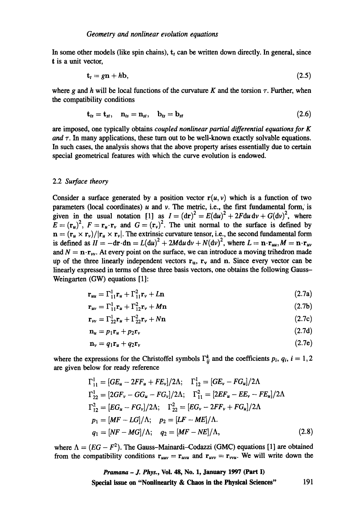In some other models (like spin chains),  $t_t$  can be written down directly. In general, since t is a unit vector,

$$
\mathbf{t}_t = g\mathbf{n} + h\mathbf{b},\tag{2.5}
$$

where g and h will be local functions of the curvature K and the torsion  $\tau$ . Further, when the compatibility conditions

$$
\mathbf{t}_{ts} = \mathbf{t}_{st}, \quad \mathbf{n}_{ts} = \mathbf{n}_{st}, \quad \mathbf{b}_{ts} = \mathbf{b}_{st} \tag{2.6}
$$

are imposed, one typically obtains *coupled nonlinear partial differential equations for K*  and  $\tau$ . In many applications, these turn out to be well-known exactly solvable equations. In such cases, the analysis shows that the above property arises essentially due to certain special geometrical features with which the curve evolution is endowed.

#### 2.2 *Surface theory*

Consider a surface generated by a position vector  $r(u, v)$  which is a function of two parameters (local coordinates)  $u$  and  $v$ . The metric, i.e., the first fundamental form, is given in the usual notation [1] as  $I = (dr)^2 = E(du)^2 + 2Fdu dv + G(dv)^2$ , where  $\mathbf{E} = (\mathbf{r}_u)^2$ ,  $\mathbf{F} = \mathbf{r}_u \cdot \mathbf{r}_v$  and  $\mathbf{G} = (\mathbf{r}_v)^2$ . The unit normal to the surface is defined by  $\mathbf{n} = (\mathbf{r}_u \times \mathbf{r}_v)/|\mathbf{r}_u \times \mathbf{r}_v|$ . The extrinsic curvature tensor, i.e., the second fundamental form is defined as  $H = -dr \cdot dn = L(du)^2 + 2Mdu dv + N(dv)^2$ , where  $L = \mathbf{n} \cdot \mathbf{r}_{uu}$ ,  $M = \mathbf{n} \cdot \mathbf{r}_{uv}$ and  $N = \mathbf{n} \cdot \mathbf{r}_{\nu\nu}$ . At every point on the surface, we can introduce a moving trihedron made up of the three linearly independent vectors  $r_u$ ,  $r_v$  and n. Since every vector can be linearly expressed in terms of these three basis vectors, one obtains the following Gauss-Weingarten (GW) equations [1]:

$$
\mathbf{r}_{uu} = \Gamma_{11}^1 \mathbf{r}_u + \Gamma_{11}^2 \mathbf{r}_v + L \mathbf{n} \tag{2.7a}
$$

$$
\mathbf{r}_{uv} = \Gamma_{11}^1 \mathbf{r}_u + \Gamma_{12}^2 \mathbf{r}_v + M \mathbf{n}
$$
 (2.7b)

$$
\mathbf{r}_{\mathbf{v}} = \Gamma_{22}^1 \mathbf{r}_{\mathbf{u}} + \Gamma_{22}^2 \mathbf{r}_{\mathbf{v}} + N \mathbf{n} \tag{2.7c}
$$

$$
\mathbf{n}_u = p_1 \mathbf{r}_u + p_2 \mathbf{r}_v \tag{2.7d}
$$

$$
\mathbf{n}_{\nu} = q_1 \mathbf{r}_u + q_2 \mathbf{r}_{\nu} \tag{2.7e}
$$

where the expressions for the Christoffel symbols  $\Gamma_{ii}^k$  and the coefficients  $p_i$ ,  $q_i$ ,  $i = 1, 2$ are given below for ready reference

$$
\Gamma_{11}^{1} = [GE_{u} - 2FF_{u} + FE_{v}]/2\Lambda; \quad \Gamma_{12}^{1} = [GE_{v} - FG_{u}]/2\Lambda
$$
\n
$$
\Gamma_{22}^{1} = [2GF_{v} - GG_{u} - FG_{v}]/2\Lambda; \quad \Gamma_{11}^{2} = [2EF_{u} - EE_{v} - FE_{u}]/2\Lambda
$$
\n
$$
\Gamma_{12}^{2} = [EG_{u} - FG_{v}]/2\Lambda; \quad \Gamma_{22}^{2} = [EG_{v} - 2FF_{v} + FG_{u}]/2\Lambda
$$
\n
$$
p_{1} = [MF - LG]/\Lambda; \quad p_{2} = [LF - ME]/\Lambda.
$$
\n
$$
q_{1} = [NF - MG]/\Lambda; \quad q_{2} = [MF - NE]/\Lambda,
$$
\n(2.8)

where  $\Lambda = (EG - F^2)$ . The Gauss-Mainardi-Codazzi (GMC) equations [1] are obtained from the compatibility conditions  $r_{uuv} = r_{uvu}$  and  $r_{uvv} = r_{vvu}$ . We will write down the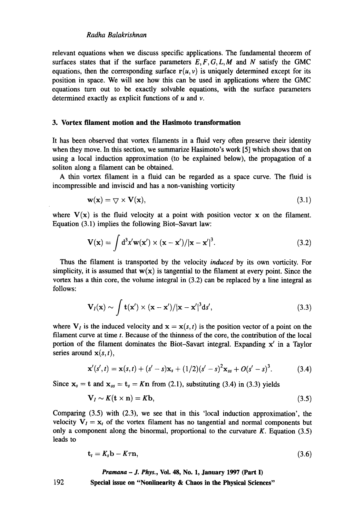relevant equations when we discuss specific applications. The fundamental theorem of surfaces states that if the surface parameters  $E, F, G, L, M$  and  $N$  satisfy the GMC equations, then the corresponding surface  $r(u, v)$  is uniquely determined except for its position in space. We will see how this can be used in applications where the GMC equations turn out to be exactly solvable equations, with the surface parameters determined exactly as explicit functions of  $u$  and  $v$ .

#### **3. Vortex filament motion and the Hasimoto transformation**

It has been observed that vortex filaments in a fluid very often preserve their identity when they move. In this section, we summarize Hasimoto's work [5] which shows that on using a local induction approximation (to be explained below), the propagation of a soliton along a filament can be obtained.

A thin vortex filament in a fluid can be regarded as a space curve. The fluid is incompressible and inviscid and has a non-vanishing vorticity

$$
\mathbf{w}(\mathbf{x}) = \nabla \times \mathbf{V}(\mathbf{x}),\tag{3.1}
$$

where  $V(x)$  is the fluid velocity at a point with position vector x on the filament. Equation (3.1) implies the following Biot-Savart law:

$$
\mathbf{V}(\mathbf{x}) = \int d^3x' \mathbf{w}(\mathbf{x}') \times (\mathbf{x} - \mathbf{x}') / |\mathbf{x} - \mathbf{x}'|^3.
$$
 (3.2)

Thus the filament is transported by the velocity *induced* by its own vorticity. For simplicity, it is assumed that  $w(x)$  is tangential to the filament at every point. Since the vortex has a thin core, the volume integral in (3.2) can be replaced by a line integral as follows:

$$
\mathbf{V}_I(\mathbf{x}) \sim \int \mathbf{t}(\mathbf{x}') \times (\mathbf{x} - \mathbf{x}')/|\mathbf{x} - \mathbf{x}'|^3 \mathrm{d} s', \tag{3.3}
$$

where  $V_i$  is the induced velocity and  $x = x(s, t)$  is the position vector of a point on the filament curve at time  $t$ . Because of the thinness of the core, the contribution of the local portion of the filament dominates the Biot-Savart integral. Expanding x' in a Taylor series around  $\mathbf{x}(s, t)$ ,

$$
\mathbf{x}'(s',t) = \mathbf{x}(s,t) + (s'-s)\mathbf{x}_s + (1/2)(s'-s)^2\mathbf{x}_{ss} + O(s'-s)^3.
$$
 (3.4)

Since  $x_s = t$  and  $x_{ss} = t_s = Kn$  from (2.1), substituting (3.4) in (3.3) yields

$$
\mathbf{V}_I \sim K(\mathbf{t} \times \mathbf{n}) = K\mathbf{b},\tag{3.5}
$$

Comparing (3.5) with (2.3), we see that in this 'local induction approximation', the velocity  $V_l = x_t$  of the vortex filament has no tangential and normal components but only a component along the binormal, proportional to the curvature  $K$ . Equation (3.5) leads to

$$
\mathbf{t}_t = K_s \mathbf{b} - K \tau \mathbf{n},\tag{3.6}
$$

*Pramana - J. Phys.,* **Vol. 48, No. 1, January 1997 (Part I)** 

**Special issue on "Nonlinearity & Chaos in the Physical Sciences"**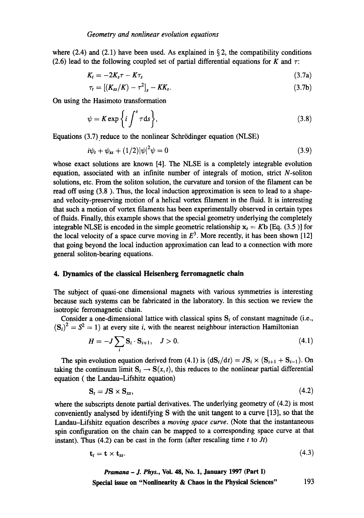where (2.4) and (2.1) have been used. As explained in  $\S$ 2, the compatibility conditions (2.6) lead to the following coupled set of partial differential equations for K and  $\tau$ :

$$
K_t = -2K_s \tau - K\tau_s \tag{3.7a}
$$

$$
\tau_t = [(K_{ss}/K) - \tau^2]_s - KK_s. \tag{3.7b}
$$

On using the Hasimoto transformation

$$
\psi = K \exp\left\{i \int^s \tau \, \mathrm{d}s \right\},\tag{3.8}
$$

Equations (3.7) reduce to the nonlinear Schrödinger equation (NLSE)

$$
i\psi_t + \psi_{ss} + (1/2)|\psi|^2 \psi = 0 \tag{3.9}
$$

whose exact solutions are known [4]. The NLSE is a completely integrable evolution equation, associated with an infinite number of integrals of motion, strict N-soliton solutions, etc. From the soliton solution, the curvature and torsion of the filament can be read off using (3.8). Thus, the local induction approximation is seen to lead to a shapeand velocity-preserving motion of a helical vortex filament in the fluid. It is interesting that such a motion of vortex filaments has been experimentally observed in certain types of fluids. Finally, this example shows that the special geometry underlying the completely integrable NLSE is encoded in the simple geometric relationship  $x_t = Kb$  [Eq. (3.5)] for the local velocity of a space curve moving in  $E<sup>3</sup>$ . More recently, it has been shown [12] that going beyond the local induction approximation can lead to a connection with more general soliton-bearing equations.

## **4. Dynamics of the classical Heisenberg ferromagnetic chain**

The subject of quasi-one dimensional magnets with various symmetries is interesting because such systems can be fabricated in the laboratory. In this section we review the isotropic ferromagnetic chain.

Consider a one-dimensional lattice with classical spins  $S_i$  of constant magnitude (i.e.,  $({\bf S}_i)^2 = S^2 = 1$ ) at every site *i*, with the nearest neighbour interaction Hamiltonian

$$
H = -J \sum_{i} \mathbf{S}_{i} \cdot \mathbf{S}_{i+1}, \quad J > 0. \tag{4.1}
$$

The spin evolution equation derived from (4.1) is  $(dS_i/dt) = JS_i \times (S_{i+1} + S_{i-1})$ . On taking the continuum limit  $S_i \to S(x, t)$ , this reduces to the nonlinear partial differential equation ( the Landau-Lifshitz equation)

$$
\mathbf{S}_t = J\mathbf{S} \times \mathbf{S}_{xx},\tag{4.2}
$$

where the subscripts denote partial derivatives. The underlying geometry of  $(4.2)$  is most conveniently analysed by identifying S with the unit tangent to a curve [13], so that the Landau-Lifshitz equation describes a *moving space curve.* (Note that the instantaneous spin configuration on the chain can be mapped to a corresponding space curve at that instant). Thus  $(4.2)$  can be cast in the form (after rescaling time t to  $Jt$ )

$$
\mathbf{t}_t = \mathbf{t} \times \mathbf{t}_{ss}. \tag{4.3}
$$

 $\mathbf{z}$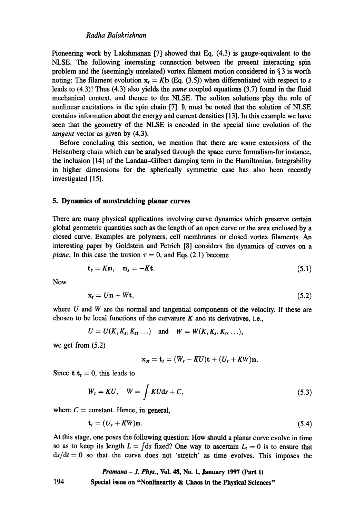Pioneering work by Lakshmanan [7] showed that Eq. (4.3) is gauge-equivalent to the NLSE. The following interesting connection between the present interacting spin problem and the (seemingly unrelated) vortex filament motion considered in § 3 is worth noting: The filament evolution  $x_t = Kb$  (Eq. (3.5)) when differentiated with respect to s leads to (4.3)! Thus (4.3) also yields the *same* coupled equations (3.7) found in the fluid mechanical context, and thence to the NLSE. The soliton solutions play the role of nonlinear excitations in the spin chain [7]. It must be noted that the solution of NLSE contains information about the energy and current densities [13]. In this example we have seen that the geometry of the NLSE is encoded in the special time evolution of the *tangent* vector as given by (4.3).

Before concluding this section, we mention that there are some extensions of the Heisenberg chain which can be analysed through the space curve formalism-for instance, the inclusion [14] of the Landau-Gilbert damping term in the Hamiltonian. Integrability in higher dimensions for the spherically symmetric case has also been recently investigated [15].

#### **5. Dynamics of nonstretching planar curves**

There are many physical applications involving curve dynamics which preserve certain global geometric quantities such as the length of an open curve or the area enclosed by a closed curve. Examples are polymers, cell membranes or closed vortex filaments. An interesting paper by Goldstein and Petrich [8] considers the dynamics of curves on a *plane.* In this case the torsion  $\tau = 0$ , and Eqs (2.1) become

$$
\mathbf{t}_s = K\mathbf{n}, \quad \mathbf{n}_s = -K\mathbf{t}.\tag{5.1}
$$

Now

$$
x_t = Un + Wt, \tag{5.2}
$$

where  $U$  and  $W$  are the normal and tangential components of the velocity. If these are chosen to be local functions of the curvature  $K$  and its derivatives, i.e.,

$$
U = U(K, K_s, K_{ss} \dots) \quad \text{and} \quad W = W(K, K_s, K_{ss} \dots),
$$

we get from (5.2)

$$
\mathbf{x}_{st} = \mathbf{t}_t = (W_s - K U)\mathbf{t} + (U_s + K W)\mathbf{n}.
$$

Since  $t.t<sub>t</sub> = 0$ , this leads to

$$
W_s = KU, \quad W = \int KU\mathrm{d}s + C,\tag{5.3}
$$

where  $C =$  constant. Hence, in general,

$$
\mathbf{t}_t = (U_s + KW)\mathbf{n}.\tag{5.4}
$$

At this stage, one poses the following question: How should a planar curve evolve in time so as to keep its length  $L = \int ds$  fixed? One way to ascertain  $L_t = 0$  is to ensure that  $ds/dt = 0$  so that the curve does not 'stretch' as time evolves. This imposes the

## *Pramana - J. Phys.,* **Voi. 48, No. 1, January 1997 (Part I)**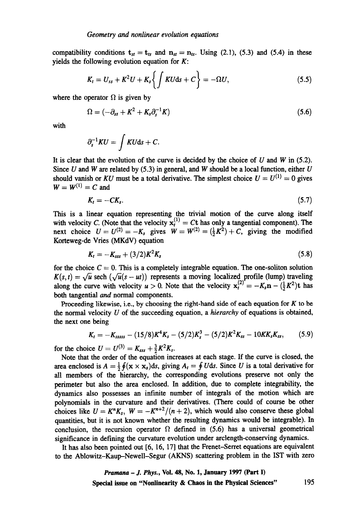compatibility conditions  $t_{st} = t_{ts}$  and  $n_{st} = n_{ts}$ . Using (2.1), (5.3) and (5.4) in these yields the following evolution equation for  $K$ :

$$
K_t = U_{ss} + K^2 U + K_s \left\{ \int K U \mathrm{d}s + C \right\} = -\Omega U, \tag{5.5}
$$

where the operator  $\Omega$  is given by

$$
\Omega = (-\partial_{ss} + K^2 + K_s \partial_s^{-1} K) \tag{5.6}
$$

with

$$
\partial_s^{-1}KU=\int KU\mathrm{d} s+C.
$$

It is clear that the evolution of the curve is decided by the choice of  $U$  and  $W$  in (5.2). Since  $U$  and  $W$  are related by (5.3) in general, and  $W$  should be a local function, either  $U$ should vanish or *KU* must be a total derivative. The simplest choice  $U = U^{(1)} = 0$  gives  $W = W^{(1)} = C$  and

$$
K_t = -CK_s. \tag{5.7}
$$

This is a linear equation representing the trivial motion of the curve along itself with velocity C. (Note that the velocity  $x_t^{\prime\prime} = Ct$  has only a tangential component). The next choice  $U = U^{(2)} = -K_s$  gives  $W = W^{(2)} = (\frac{1}{2}K^2) + C_s$ , giving the modified Korteweg-de Vries (MKdV) equation

$$
K_t = -K_{sss} + (3/2)K^2K_s \tag{5.8}
$$

for the choice  $C = 0$ . This is a completely integrable equation. The one-soliton solution  $K(s, t) = \sqrt{u} \text{ sech } (\sqrt{u(s - ut)})$  represents a moving localized profile (lump) traveling along the curve with velocity  $u > 0$ . Note that the velocity  $x_t^{(2)} = -K_s n - (\frac{1}{2}K^2)t$  has both tangential and normal components.

Proceeding likewise, i.e., by choosing the right-hand side of each equation for  $K$  to be the normal velocity U of the succeeding equation, a *hierarchy* of equations is obtained, the next one being

$$
K_t = -K_{ssass} - (15/8)K^4K_s - (5/2)K_s^3 - (5/2)K^2K_{ss} - 10KK_sK_{ss},
$$
 (5.9)

for the choice  $U = U^{(3)} = K_{sss} + \frac{3}{2}K^2K_s$ .

Note that the order of the equation increases at each stage. If the curve is closed, the area enclosed is  $A = \frac{1}{2} \oint (x \times x_s) ds$ , giving  $A_t = \oint U ds$ . Since U is a total derivative for all members of the hierarchy, the corresponding evolutions preserve not only the perimeter but also the area enclosed. In addition, due to complete integrability, the dynamics also possesses an infinite number of integrals of the motion which are polynomials in the curvature and their derivatives. (There could of course be other choices like  $U = K^{n}K_{s}$ ,  $W = -K^{n+2}/(n+2)$ , which would also conserve these global quantities, but it is not known whether the resulting dynamics would be integrable). In conclusion, the recursion operator  $\Omega$  defined in (5.6) has a universal geometrical significance in defining the curvature evolution under arclength-conserving dynamics.

It has also been pointed out [6, 16, 17] that the Frenet-Serret equations are equivalent to the Ablowitz-Kaup-NeweU-Segur (AKNS) scattering problem in the IST with zero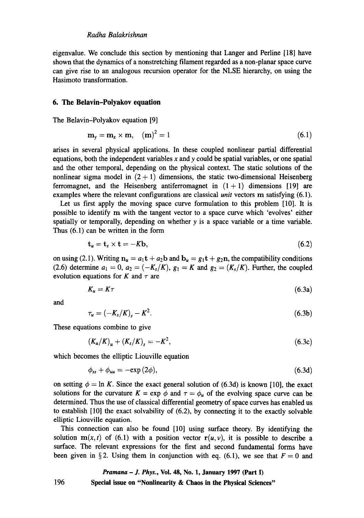eigenvalue. We conclude this section by mentioning that Langer and Perline [18] have shown that the dynamics of a nonstretching filament regarded as a non-planar space curve can give rise to an analogous recursion operator for the NLSE hierarchy, on using the Hasimoto transformation.

#### **6. The Belavin-Polyakov equation**

The Belavin-Polyakov equation [9]

$$
\mathbf{m}_{y} = \mathbf{m}_{x} \times \mathbf{m}, \quad (\mathbf{m})^{2} = 1 \tag{6.1}
$$

arises in several physical applications. In these coupled nonlinear partial differential equations, both the independent variables  $x$  and  $y$  could be spatial variables, or one spatial and the other temporal, depending on the physical context. The static solutions of the nonlinear sigma model in  $(2 + 1)$  dimensions, the static two-dimensional Heisenberg ferromagnet, and the Heisenberg antiferromagnet in  $(1 + 1)$  dimensions [19] are examples where the relevant configurations are classical *unit* vectors m satisfying (6.1).

Let us first apply the moving space curve formulation to this problem [10]. It is possible to identify m with the tangent vector to a space curve which 'evolves' either spatially or temporally, depending on whether  $y$  is a space variable or a time variable. Thus (6.1) can be written in the form

$$
\mathbf{t}_u = \mathbf{t}_s \times \mathbf{t} = -K\mathbf{b},\tag{6.2}
$$

on using (2.1). Writing  $n_u = a_1 t + a_2 b$  and  $b_u = g_1 t + g_2 n$ , the compatibility conditions (2.6) determine  $a_1 = 0$ ,  $a_2 = (-K_s/K)$ ,  $g_1 = K$  and  $g_2 = (K_s/K)$ . Further, the coupled evolution equations for K and  $\tau$  are

$$
K_u = K\tau \tag{6.3a}
$$

and

$$
\tau_u = \left(-K_s/K\right)_s - K^2. \tag{6.3b}
$$

These equations combine to give

$$
(K_u/K)_u + (K_s/K)_s = -K^2, \t\t(6.3c)
$$

which becomes the elliptic Liouville equation

$$
\phi_{ss} + \phi_{uu} = -\exp(2\phi),\tag{6.3d}
$$

on setting  $\phi = \ln K$ . Since the exact general solution of (6.3d) is known [10], the exact solutions for the curvature  $K = \exp \phi$  and  $\tau = \phi_u$  of the evolving space curve can be determined. Thus the use of classical differential geometry of space curves has enabled us to establish  $[10]$  the exact solvability of  $(6.2)$ , by connecting it to the exactly solvable elliptic Liouville equation.

This connection can also be found [10] using surface theory. By identifying the solution  $m(x, t)$  of (6.1) with a position vector  $r(u, v)$ , it is possible to describe a surface. The relevant expressions for the first and second fundamental forms have been given in §2. Using them in conjunction with eq. (6.1), we see that  $F = 0$  and

## *Pramana - J. Phys.,* **VoL 48, No. 1, January 1997 (Part I)**

**Special issue on "Nonlinearity & Chaos in the Physical Sciences"**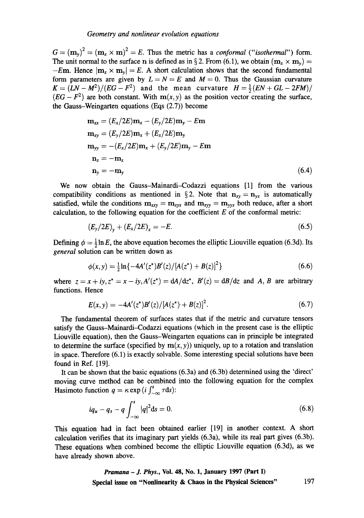$G = (m_v)^2 = (m_x \times m)^2 = E$ . Thus the metric has a *conformal ("isothermal")* form. The unit normal to the surface n is defined as in §2. From (6.1), we obtain  $(\mathbf{m}_x \times \mathbf{m}_y)$  = -Em. Hence  $|\mathbf{m}_{x} \times \mathbf{m}_{y}| = E$ . A short calculation shows that the second fundamental form parameters are given by  $L = N = E$  and  $M = 0$ . Thus the Gaussian curvature  $K = (LN - M^2)/(EG - F^2)$  and the mean curvature  $H = \frac{1}{2}(EN + GL - 2FM)/$  $(EG - F^2)$  are both constant. With  $m(x, y)$  as the position vector creating the surface, the Gauss-Weingarten equations (Eqs (2.7)) become

$$
\mathbf{m}_{xx} = (E_x/2E)\mathbf{m}_x - (E_y/2E)\mathbf{m}_y - E\mathbf{m}
$$
  
\n
$$
\mathbf{m}_{xy} = (E_y/2E)\mathbf{m}_x + (E_x/2E)\mathbf{m}_y
$$
  
\n
$$
\mathbf{m}_{yy} = -(E_x/2E)\mathbf{m}_x + (E_y/2E)\mathbf{m}_y - E\mathbf{m}
$$
  
\n
$$
\mathbf{n}_x = -\mathbf{m}_x
$$
  
\n
$$
\mathbf{n}_y = -\mathbf{m}_y
$$
\n(6.4)

We now obtain the Gauss-Mainardi-Codazzi equations [1] from the various compatibility conditions as mentioned in §2. Note that  $n_{xy} = n_{yx}$  is automatically satisfied, while the conditions  $m_{xy} = m_{xy}$  and  $m_{xy} = m_{yy}$  both reduce, after a short calculation, to the following equation for the coefficient  $E$  of the conformal metric:

$$
(E_y/2E)_y + (E_x/2E)_x = -E.
$$
\n(6.5)

Defining  $\phi = \frac{1}{2} \ln E$ , the above equation becomes the elliptic Liouville equation (6.3d). Its *general* solution can be written down as

$$
\phi(x, y) = \frac{1}{2} \ln \{-4A'(z^*)B'(z)/[A(z^*) + B(z)]^2\}
$$
\n(6.6)

where  $z = x + iy$ ,  $z^* = x - iy$ ,  $A'(z^*) = dA/dz^*$ ,  $B'(z) = dB/dz$  and A, B are arbitrary functions. Hence

$$
E(x, y) = -4A'(z^*)B'(z)/[A(z^*) + B(z)]^2.
$$
 (6.7)

The fundamental theorem of surfaces states that if the metric and curvature tensors satisfy the Gauss-Mainardi-Codazzi equations (which in the present case is the elliptic Liouville equation), then the Gauss-Weingarten equations can in principle be integrated to determine the surface (specified by  $m(x, y)$ ) uniquely, up to a rotation and translation in space. Therefore (6.1) is exactly solvable. Some interesting special solutions have been found in Ref. [19].

It can be shown that the basic equations (6.3a) and (6.3b) determined using the 'direct' moving curve method can be combined into the following equation for the complex Hasimoto function  $q = \kappa \exp(i \int_{-\infty}^{s} \tau ds)$ :

$$
iq_u - q_s - q \int_{-\infty}^s |q|^2 \, \mathrm{d} s = 0. \tag{6.8}
$$

This equation had in fact been obtained earlier [19] in another context. A short calculation verifies that its imaginary part yields (6.3a), while its real part gives (6.3b). These equations when combined become the elliptic Liouville equation (6.3d), as we have already shown above.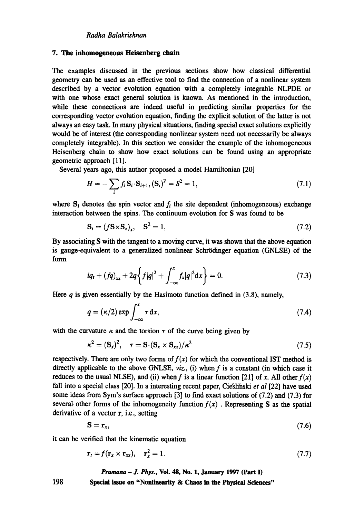#### **7. The inhomogeneous Heisenberg chain**

The examples discussed in the previous sections show how classical differential geometry can be used as an effective tool to find the connection of a nonlinear system described by a vector evolution equation with a completely integrable NLPDE or with one whose exact general solution is known. As mentioned in the introduction, while these connections are indeed useful in predicting similar properties for the corresponding vector evolution equation, finding the explicit solution of the latter is not always an easy task. In many physical situations, finding special exact solutions explicitly would be of interest (the corresponding nonlinear system need not necessarily be always completely integrable). In this section we consider the example of the inhomogeneous Heisenberg chain to show how exact solutions can be found using an appropriate geometric approach [ 11].

Several years ago, this author proposed a model Hamiltonian [20]

$$
H = -\sum_{i} f_i \mathbf{S}_i \cdot \mathbf{S}_{i+1}, (\mathbf{S}_i)^2 = S^2 = 1,
$$
\n(7.1)

where  $S_i$  denotes the spin vector and  $f_i$  the site dependent (inhomogeneous) exchange interaction between the spins. The continuum evolution for S was found to be

$$
\mathbf{S}_t = (f\mathbf{S}\times\mathbf{S}_x)_x, \quad \mathbf{S}^2 = 1,\tag{7.2}
$$

By associating S with the tangent to a moving curve, it was shown that the above equation is gauge-equivalent to a generalized nonlinear Schrödinger equation (GNLSE) of the form

$$
iq_t + (fq)_{xx} + 2q \left\{ f|q|^2 + \int_{-\infty}^x f_x |q|^2 dx \right\} = 0.
$$
 (7.3)

Here  $q$  is given essentially by the Hasimoto function defined in (3.8), namely,

$$
q = (\kappa/2) \exp \int_{-\infty}^{x} \tau \, \mathrm{d}x,\tag{7.4}
$$

with the curvature  $\kappa$  and the torsion  $\tau$  of the curve being given by

$$
\kappa^2 = (\mathbf{S}_x)^2, \quad \tau = \mathbf{S} \cdot (\mathbf{S}_x \times \mathbf{S}_{xx}) / \kappa^2 \tag{7.5}
$$

respectively. There are only two forms of  $f(x)$  for which the conventional IST method is directly applicable to the above GNLSE, *viz.,* (i) when f is a constant (in which case it reduces to the usual NLSE), and (ii) when f is a linear function [21] of x. All other  $f(x)$ fall into a special class [20]. In a interesting recent paper, Cie'sli'nski et al [22] have used some ideas from Sym's surface approach  $[3]$  to find exact solutions of  $(7.2)$  and  $(7.3)$  for several other forms of the inhomogeneity function  $f(x)$ . Representing S as the spatial derivative of a vector r, i.e., setting

$$
S = r_x, \tag{7.6}
$$

it can be verified that the kinematic equation

$$
\mathbf{r}_t = f(\mathbf{r}_x \times \mathbf{r}_x), \quad \mathbf{r}_x^2 = 1. \tag{7.7}
$$

*Pramana - J. Phys.,* Vol. 48, No. 1, January 1997 (Part I)

Special issue on "Nonlinearity **& Chaos in the Physical Sciences"**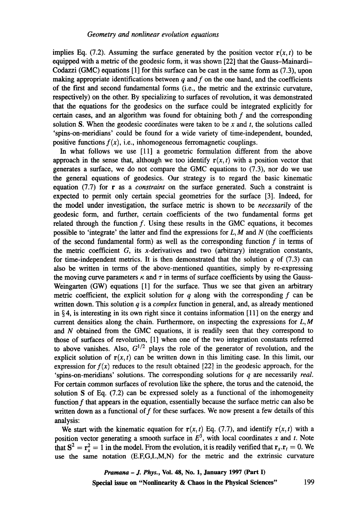implies Eq. (7.2). Assuming the surface generated by the position vector  $r(x, t)$  to be equipped with a metric of the geodesic form, it was shown [22] that the Gauss-Mainardi-Codazzi (GMC) equations [1] for this surface can be cast in the same form as (7.3), upon making appropriate identifications between  $q$  and  $f$  on the one hand, and the coefficients of the first and second fundamental forms (i.e., the metric and the extrinsic curvature, respectively) on the other. By specializing to surfaces of revolution, it was demonstrated that the equations for the geodesics on the surface could be integrated explicitly for certain cases, and an algorithm was found for obtaining both f and the corresponding solution S. When the geodesic coordinates were taken to be  $x$  and  $t$ , the solutions called 'spins-on-meridians' could be found for a wide variety of time-independent, bounded, positive functions  $f(x)$ , i.e., inhomogeneous ferromagnetic couplings.

In what follows we use [11] a geometric formulation different from the above approach in the sense that, although we too identify  $r(x, t)$  with a position vector that generates a surface, we do not compare the GMC equations to (7.3), nor do we use the general equations of geodesics. Our strategy is to regard the basic kinematic equation (7.7) for r as a *constraint* on the surface generated. Such a constraint is expected to permit only certain special geometries for the surface [3]. Indeed, for the model under investigation, the surface metric is shown to be *necessarily* of the geodesic form, and further, certain coefficients of the two fundamental forms get related through the function  $f$ . Using these results in the GMC equations, it becomes possible to 'integrate' the latter and find the expressions for  $L, M$  and  $N$  (the coefficients of the second fundamental form) as well as the corresponding function  $f$  in terms of the metric coefficient  $G$ , its x-derivatives and two (arbitrary) integration constants, for time-independent metrics. It is then demonstrated that the solution  $q$  of (7.3) can also be written in terms of the above-mentioned quantities, simply by re-expressing the moving curve parameters  $\kappa$  and  $\tau$  in terms of surface coefficients by using the Gauss-Weingarten (GW) equations [1] for the surface. Thus we see that given an arbitrary metric coefficient, the explicit solution for q along with the corresponding f can be written down. This solution q is a *complex* function in general, and, as already mentioned in  $\S 4$ , is interesting in its own right since it contains information [11] on the energy and current densities along the chain. Furthermore, on inspecting the expressions for  $L, M$ and N obtained from the GMC equations, it is readily seen that they correspond to those of surfaces of revolution, [1] when one of the two integration constants referred to above vanishes. Also,  $G^{1/2}$  plays the role of the generator of revolution, and the explicit solution of  $r(x, t)$  can be written down in this limiting case. In this limit, our expression for  $f(x)$  reduces to the result obtained [22] in the geodesic approach, for the 'spins-on-meridians' solutions. The corresponding solutions for q are necessarily *real.*  For certain common surfaces of revolution like the sphere, the torus and the catenoid, the solution S of Eq. (7.2) can be expressed solely as a functional of the inhomogeneity function f that appears in the equation, essentially because the surface metric can also be written down as a functional of  $f$  for these surfaces. We now present a few details of this analysis:

We start with the kinematic equation for  $r(x, t)$  Eq. (7.7), and identify  $r(x, t)$  with a position vector generating a smooth surface in  $E^3$ , with local coordinates x and t. Note that  $S^2 = r_r^2 = 1$  in the model. From the evolution, it is readily verified that  $r_x \cdot r_t = 0$ . We use the same notation (E.F,G,L,M,N) for the metric and the extrinsic curvature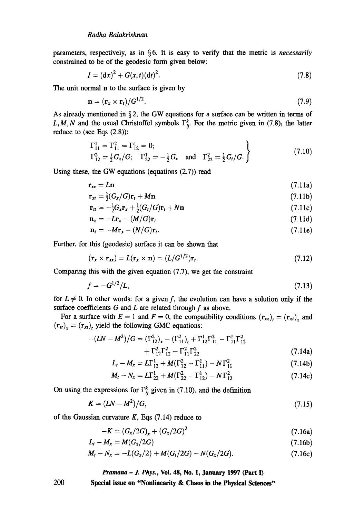parameters, respectively, as in § 6. It is easy to verify that the metric is *necessarily*  constrained to be of the geodesic form given below:

$$
I = (dx)^2 + G(x, t)(dt)^2.
$$
 (7.8)

The unit normal **n** to the surface is given by

$$
\mathbf{n} = (\mathbf{r}_x \times \mathbf{r}_t) / G^{1/2}.
$$
 (7.9)

As already mentioned in  $\S 2$ , the GW equations for a surface can be written in terms of L, M, N and the usual Christoffel symbols  $\Gamma_{ii}^k$ . For the metric given in (7.8); the latter reduce to (see Eqs (2.8)):

$$
\Gamma_{11}^1 = \Gamma_{11}^2 = \Gamma_{12}^1 = 0; \n\Gamma_{12}^2 = \frac{1}{2} G_x / G; \quad \Gamma_{22}^1 = -\frac{1}{2} G_x \quad \text{and} \quad \Gamma_{22}^2 = \frac{1}{2} G_t / G.
$$
\n(7.10)

Using these, the GW equations (equations (2.7)) read

$$
\mathbf{r}_{xx} = L\mathbf{n} \tag{7.11a}
$$

$$
\mathbf{r}_{xt} = \frac{1}{2}(G_x/G)\mathbf{r}_t + M\mathbf{n} \tag{7.11b}
$$

$$
\mathbf{r}_t = -\frac{1}{2}G_x \mathbf{r}_x + \frac{1}{2}(G_t/G)\mathbf{r}_t + N\mathbf{n}
$$
\n(7.11c)

$$
\mathbf{n}_{x} = -L\mathbf{r}_{x} - (M/G)\mathbf{r}_{t} \tag{7.11d}
$$

$$
\mathbf{n}_t = -M\mathbf{r}_x - (N/G)\mathbf{r}_t. \tag{7.11e}
$$

Further, for this (geodesic) surface it can be shown that

$$
(\mathbf{r}_x \times \mathbf{r}_{xx}) = L(\mathbf{r}_x \times \mathbf{n}) = (L/G^{1/2})\mathbf{r}_t.
$$
\n(7.12)

Comparing this with the given equation  $(7.7)$ , we get the constraint

$$
f = -G^{1/2}/L,\tag{7.13}
$$

for  $L \neq 0$ . In other words: for a given f, the evolution can have a solution only if the surface coefficients  $G$  and  $L$  are related through  $f$  as above.

For a surface with  $E = 1$  and  $F = 0$ , the compatibility conditions  $(\mathbf{r}_{xx})_t = (\mathbf{r}_{xt})_x$  and  $(\mathbf{r}_{tt})_x = (\mathbf{r}_{xt})_t$  yield the following GMC equations:

$$
-(LN - M2)/G = (\Gamma_{12}^{2})_{x} - (\Gamma_{11}^{2})_{t} + \Gamma_{12}^{1} \Gamma_{11}^{2} - \Gamma_{11}^{1} \Gamma_{12}^{2} + \Gamma_{12}^{2} \Gamma_{12}^{2} - \Gamma_{11}^{2} \Gamma_{22}^{2}
$$
 (7.14a)

$$
L_t - M_x = L\Gamma_{12}^1 + M(\Gamma_{12}^2 - \Gamma_{11}^1) - N\Gamma_{11}^2 \tag{7.14b}
$$

$$
M_t - N_x = L\Gamma_{22}^1 + M(\Gamma_{22}^2 - \Gamma_{12}^1) - N\Gamma_{12}^2
$$
 (7.14c)

On using the expressions for  $\Gamma_{ii}^k$  given in (7.10), and the definition

$$
K = (LN - M2)/G,
$$
\n
$$
(7.15)
$$

of the Gaussian curvature  $K$ , Eqs (7.14) reduce to

200

$$
-K = (G_x/2G)_x + (G_x/2G)^2 \tag{7.16a}
$$

$$
L_t - M_x = M(G_x/2G) \tag{7.16b}
$$

$$
M_t - N_x = -L(G_x/2) + M(G_t/2G) - N(G_x/2G). \qquad (7.16c)
$$

## *Pramana - J. Phys.,* **VoL 48, No. 1, January 1997 (Part I)**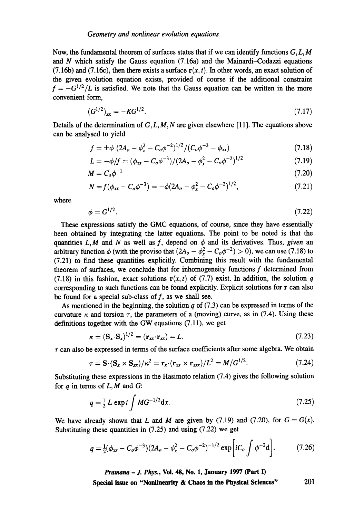Now, the fundamental theorem of surfaces states that if we can identify functions  $G, L, M$ and  $N$  which satisfy the Gauss equation (7.16a) and the Mainardi-Codazzi equations (7.16b) and (7.16c), then there exists a surface  $r(x, t)$ . In other words, an exact solution of the given evolution equation exists, provided of course if the additional constraint  $f = -G^{1/2}/L$  is satisfied. We note that the Gauss equation can be written in the more convenient form,

$$
(G^{1/2})_{xx} = -KG^{1/2}.
$$
 (7.17)

Details of the determination of  $G, L, M, N$  are given elsewhere [11]. The equations above can be analysed to yield

$$
f = \pm \phi \ (2A_o - \phi_x^2 - C_o \phi^{-2})^{1/2} / (C_o \phi^{-3} - \phi_{xx}) \tag{7.18}
$$

$$
L = -\phi/f = (\phi_{xx} - C_o\phi^{-3})/(2A_o - \phi_x^2 - C_o\phi^{-2})^{1/2}
$$
\n(7.19)

$$
M = C_o \phi^{-1} \tag{7.20}
$$

$$
N = f(\phi_{xx} - C_o \phi^{-3}) = -\phi (2A_o - \phi_x^2 - C_o \phi^{-2})^{1/2}, \qquad (7.21)
$$

where

$$
\phi = G^{1/2}.\tag{7.22}
$$

These expressions satisfy the GMC equations, of course, since they have essentially been obtained by integrating the latter equations. The point to be noted is that the quantities  $L, M$  and N as well as f, depend on  $\phi$  and its derivatives. Thus, *given* an arbitrary function  $\phi$  (with the proviso that  $(2A_o - \phi_r^2 - C_o\phi^{-2}) > 0$ ), we can use (7.18) to (7.21) to find these quantities explicitly. Combining this result with the fundamental theorem of surfaces, we conclude that for inhomogeneity functions f determined from (7.18) in this fashion, exact solutions  $r(x, t)$  of (7.7) exist. In addition, the solution q corresponding to such functions can be found explicitly. Explicit solutions for r can also be found for a special sub-class of  $f$ , as we shall see.

As mentioned in the beginning, the solution q of  $(7.3)$  can be expressed in terms of the curvature  $\kappa$  and torsion  $\tau$ , the parameters of a (moving) curve, as in (7.4). Using these definitions together with the GW equations (7.11), we get

$$
\kappa = (\mathbf{S}_x \cdot \mathbf{S}_x)^{1/2} = (\mathbf{r}_{xx} \cdot \mathbf{r}_{xx}) = L. \tag{7.23}
$$

 $\tau$  can also be expressed in terms of the surface coefficients after some algebra. We obtain

$$
\tau = \mathbf{S} \cdot (\mathbf{S}_x \times \mathbf{S}_{xx})/\kappa^2 = \mathbf{r}_x \cdot (\mathbf{r}_{xx} \times \mathbf{r}_{xxx})/L^2 = M/G^{1/2}.
$$
 (7.24)

Substituting these expressions in the Hasimoto relation (7.4) gives the following solution for  $q$  in terms of  $L, M$  and  $G$ :

$$
q = \frac{1}{2} L \exp i \int M G^{-1/2} dx.
$$
 (7.25)

We have already shown that L and M are given by (7.19) and (7.20), for  $G = G(x)$ . Substituting these quantities in (7.25) and using (7.22) we get

$$
q = \frac{1}{2}(\phi_{xx} - C_o\phi^{-3})(2A_o - \phi_x^2 - C_o\phi^{-2})^{-1/2} \exp\left[iC_o \int \phi^{-2}d\right].
$$
 (7.26)

*Pramana - J. Phys.,* **Vol. 48, No. 1, January 1997 (Part I)**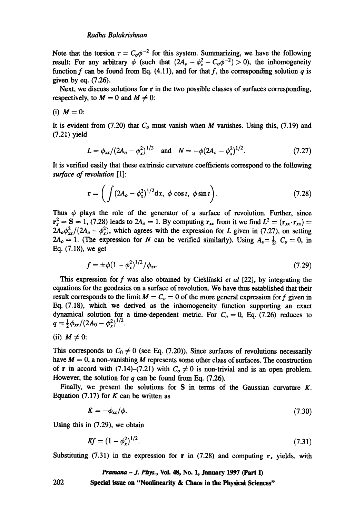Note that the torsion  $\tau = C_0 \phi^{-2}$  for this system. Summarizing, we have the following result: For any arbitrary  $\phi$  (such that  $(2A_o - \phi_r^2 - C_o \phi^{-2}) > 0$ ), the inhomogeneity function f can be found from Eq.  $(4.11)$ , and for that f, the corresponding solution q is given by eq. (7.26).

Next, we discuss solutions for r in the two possible classes of surfaces corresponding, respectively, to  $M = 0$  and  $M \neq 0$ :

(i) 
$$
M = 0
$$
:

It is evident from  $(7.20)$  that  $C<sub>o</sub>$  must vanish when M vanishes. Using this,  $(7.19)$  and (7.21) yield

$$
L = \phi_{xx} / (2A_o - \phi_x^2)^{1/2} \quad \text{and} \quad N = -\phi (2A_o - \phi_x^2)^{1/2}.
$$
 (7.27)

It is verified easily that these extrinsic curvature coefficients correspond to the following *surface of revolution* [1]:

$$
\mathbf{r} = \left( \int (2A_o - \phi_x^2)^{1/2} dx, \phi \cos t, \phi \sin t \right).
$$
 (7.28)

Thus  $\phi$  plays the role of the generator of a surface of revolution. Further, since  $\mathbf{r}_x^2 = \mathbf{S} = 1$ , (7.28) leads to  $2A_o = 1$ . By computing  $\mathbf{r}_{xx}$  from it we find  $L^2 = (\mathbf{r}_{xx} \cdot \mathbf{r}_{xx}) =$  $2A_o\phi_{xx}^2/(2A_o - \phi_x^2)$ , which agrees with the expression for L given in (7.27), on setting  $2A_0 = 1$ . (The expression for N can be verified similarly). Using  $A_0 = \frac{1}{2}$ ,  $C_0 = 0$ , in Eq. (7.18), we get

$$
f = \pm \phi (1 - \phi_x^2)^{1/2} / \phi_{xx}.
$$
 (7.29)

This expression for f was also obtained by Cie'slinski *et al* [22], by integrating the equations for the geodesics on a surface of revolution. We have thus established that their result corresponds to the limit  $M = C<sub>o</sub> = 0$  of the more general expression for f given in Eq. (7.18), which we derived as the inhomogeneity function supporting an exact dynamical solution for a time-dependent metric. For  $C<sub>o</sub> = 0$ , Eq. (7.26) reduces to  $q = \frac{1}{2} \phi_{xx} / (2A_0 - \phi_x^2)^{1/2}.$ 

(ii) 
$$
M \neq 0
$$
:

This corresponds to  $C_0 \neq 0$  (see Eq. (7.20)). Since surfaces of revolutions necessarily have  $M = 0$ , a non-vanishing M represents some other class of surfaces. The construction of **r** in accord with (7.14)-(7.21) with  $C_0 \neq 0$  is non-trivial and is an open problem. However, the solution for  $q$  can be found from Eq. (7.26).

Finally, we present the solutions for S in terms of the Gaussian curvature  $K$ . Equation (7.17) for  $K$  can be written as

$$
K = -\phi_{xx}/\phi. \tag{7.30}
$$

Using this in (7.29), we obtain

$$
Kf = (1 - \phi_x^2)^{1/2}.
$$
\n(7.31)

Substituting (7.31) in the expression for r in (7.28) and computing  $r_x$  yields, with

#### *Pramana - J. Phys.,* **Voi. 48, No. 1, January 1997 (Part I)**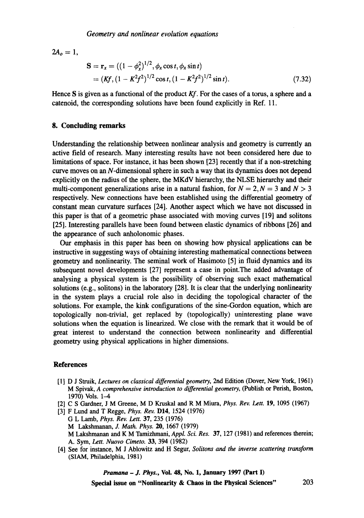$2A_0 = 1$ ,

$$
\mathbf{S} = \mathbf{r}_x = ((1 - \phi_x^2)^{1/2}, \phi_x \cos t, \phi_x \sin t)
$$
  
=  $(Kf, (1 - K^2 f^2)^{1/2} \cos t, (1 - K^2 f^2)^{1/2} \sin t).$  (7.32)

Hence S is given as a functional of the product *Kf.* For the cases of a torus, a sphere and a catenoid, the corresponding solutions have been found explicitly in Ref. 11.

#### **8. Concluding remarks**

Understanding the relationship between nonlinear analysis and geometry is currently an active field of research. Many interesting results have not been considered here due to limitations of space. For instance, it has been shown [23] recently that if a non-stretching curve moves on an N-dimensional sphere in such a way that its dynamics does not depend explicitly on the radius of the sphere, the MKdV hierarchy, the NLSE hierarchy and their multi-component generalizations arise in a natural fashion, for  $N = 2, N = 3$  and  $N > 3$ respectively. New connections have been established using the differential geometry of constant mean curvature surfaces [24]. Another aspect which we have not discussed in this paper is that of a geometric phase associated with moving curves [19] and solitons [25]. Interesting parallels have been found between elastic dynamics of ribbons [26] and the appearance of such anholonomic phases.

Our emphasis in this paper has been on showing how physical applications can be instructive in suggesting ways of obtaining interesting mathematical connections between geometry and nonlinearity. The seminal work of Hasimoto [5] in fluid dynamics and its subsequent novel developments [27] represent a case in point.The added advantage of analysing a physical system is the possibility of observing such exact mathematical solutions (e.g., solitons) in the laboratory [28]. It is clear that the underlying nonlinearity in the system plays a crucial role also in deciding the topological character of the solutions. For example, the kink configurations of the sine-Gordon equation, which are topologically non-trivial, get replaced by (topologically) uninteresting plane wave solutions when the equation is linearized. We close with the remark that it would be of great interest to understand the connection between nonlinearity and differential geometry using physical applications in higher dimensions.

#### **References**

- [1] D J Struik, *Lectures on classical differential geometry,* 2nd Edition (Dover, New York, 1961) M Spivak, *A comprehensive introduction to differential geometry,* (Publish or Perish, Boston, 1970) Vols. 1-4
- [2] C S Gardner, J M Greene, M D Kruskal and R M Miura, *Phys. Rev. Lett.* 19, 1095 (1967)
- [3] F Lund and T Regge, *Phys. Rev.* D14, 1524 (1976) G L Lamb, *Phys. Rev. Lett.* 37, 235 (1976) *M Lakshmanan, J. Math. Phys. 20,* 1667 (1979) M Lakshmanan and K M Tamizhmani, *Appl. Sci. Res.* 37, 127 (1981) and references therein; *A. Sym, Lett. Nuovo Cimeto.* 33, 394 (1982)
- [4] See for instance, M J Ablowitz and H Segur, *Solitons and the inverse scattering transform*  (SIAM, Philadelphia, 1981)

*Pramana - J. Phys.,* **Vol. 48, No. 1, January 1997 (Part I)**